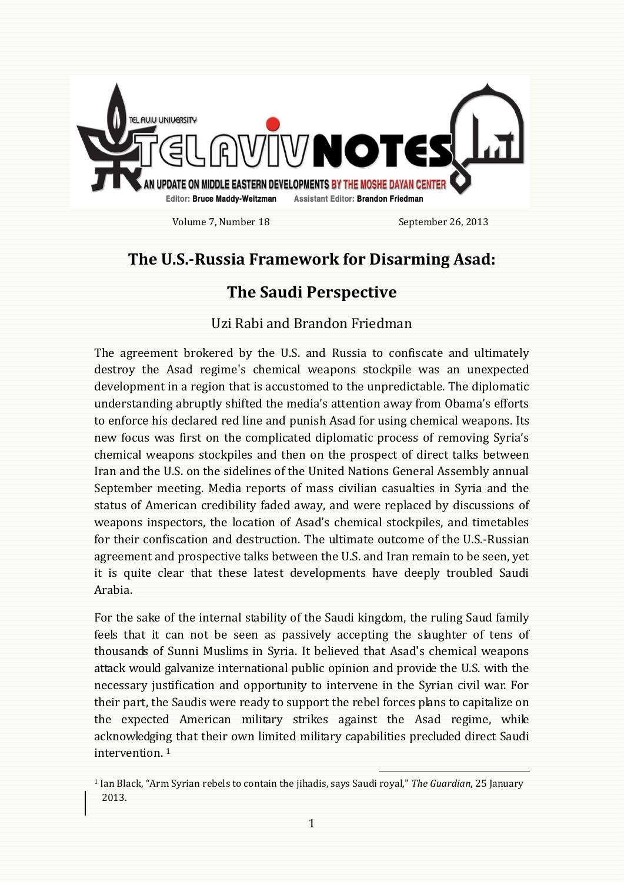

Volume 7, Number 18 September 26, 2013

## **The U.S.-Russia Framework for Disarming Asad:**

## **The Saudi Perspective**

## Uzi Rabi and Brandon Friedman

The agreement brokered by the U.S. and Russia to confiscate and ultimately destroy the Asad regime's chemical weapons stockpile was an unexpected development in a region that is accustomed to the unpredictable. The diplomatic understanding abruptly shifted the media's attention away from Obama's efforts to enforce his declared red line and punish Asad for using chemical weapons. Its new focus was first on the complicated diplomatic process of removing Syria's chemical weapons stockpiles and then on the prospect of direct talks between Iran and the U.S. on the sidelines of the United Nations General Assembly annual September meeting. Media reports of mass civilian casualties in Syria and the status of American credibility faded away, and were replaced by discussions of weapons inspectors, the location of Asad's chemical stockpiles, and timetables for their confiscation and destruction. The ultimate outcome of the U.S.-Russian agreement and prospective talks between the U.S. and Iran remain to be seen, yet it is quite clear that these latest developments have deeply troubled Saudi Arabia.

For the sake of the internal stability of the Saudi kingdom, the ruling Saud family feels that it can not be seen as passively accepting the slaughter of tens of thousands of Sunni Muslims in Syria. It believed that Asad's chemical weapons attack would galvanize international public opinion and provide the U.S. with the necessary justification and opportunity to intervene in the Syrian civil war. For their part, the Saudis were ready to support the rebel forces plans to capitalize on the expected American military strikes against the Asad regime, while acknowledging that their own limited military capabilities precluded direct Saudi intervention. <sup>1</sup>

 $\overline{\phantom{0}}$ 

<sup>1</sup> Ian Black, "Arm Syrian rebels to contain the jihadis, says Saudi royal," *The Guardian*, 25 January 2013.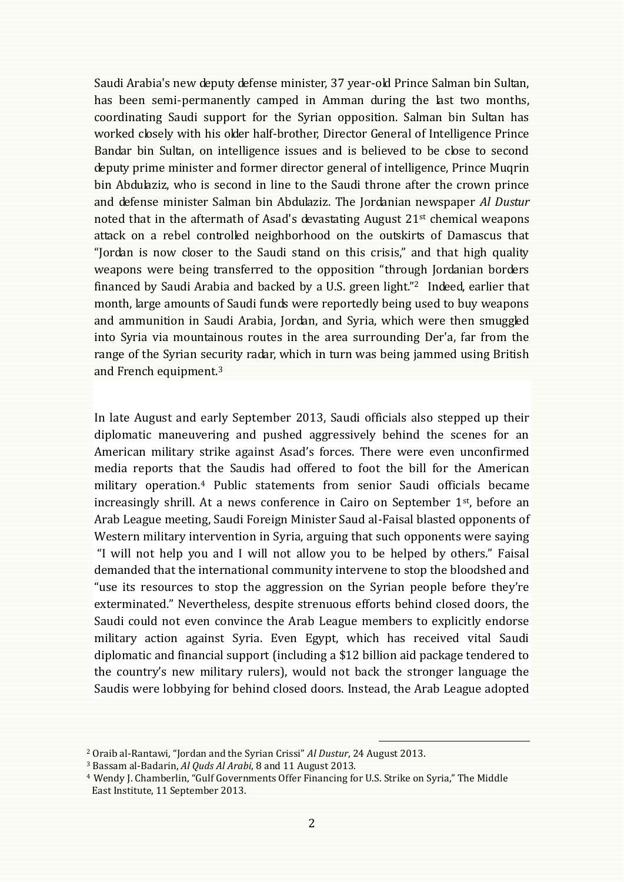Saudi Arabia's new deputy defense minister, 37 year-old Prince Salman bin Sultan, has been semi-permanently camped in Amman during the last two months, coordinating Saudi support for the Syrian opposition. Salman bin Sultan has worked closely with his older half-brother, Director General of Intelligence Prince Bandar bin Sultan, on intelligence issues and is believed to be close to second deputy prime minister and former director general of intelligence, Prince Muqrin bin Abdulaziz, who is second in line to the Saudi throne after the crown prince and defense minister Salman bin Abdulaziz. The Jordanian newspaper *Al Dustur* noted that in the aftermath of Asad's devastating August 21st chemical weapons attack on a rebel controlled neighborhood on the outskirts of Damascus that "Jordan is now closer to the Saudi stand on this crisis," and that high quality weapons were being transferred to the opposition "through Jordanian borders financed by Saudi Arabia and backed by a U.S. green light."<sup>2</sup> Indeed, earlier that month, large amounts of Saudi funds were reportedly being used to buy weapons and ammunition in Saudi Arabia, Jordan, and Syria, which were then smuggled into Syria via mountainous routes in the area surrounding Der'a, far from the range of the Syrian security radar, which in turn was being jammed using British and French equipment.<sup>3</sup>

In late August and early September 2013, Saudi officials also stepped up their diplomatic maneuvering and pushed aggressively behind the scenes for an American military strike against Asad's forces. There were even unconfirmed media reports that the Saudis had offered to foot the bill for the American military operation.<sup>4</sup> Public statements from senior Saudi officials became increasingly shrill. At a news conference in Cairo on September 1st, before an Arab League meeting, Saudi Foreign Minister Saud al-Faisal blasted opponents of Western military intervention in Syria, arguing that such opponents were saying "I will not help you and I will not allow you to be helped by others." Faisal demanded that the international community intervene to stop the bloodshed and "use its resources to stop the aggression on the Syrian people before they're exterminated." Nevertheless, despite strenuous efforts behind closed doors, the Saudi could not even convince the Arab League members to explicitly endorse military action against Syria. Even Egypt, which has received vital Saudi diplomatic and financial support (including a \$12 billion aid package tendered to the country's new military rulers), would not back the stronger language the Saudis were lobbying for behind closed doors. Instead, the Arab League adopted

į

<sup>2</sup> Oraib al-Rantawi, "Jordan and the Syrian Crissi" *Al Dustur*, 24 August 2013.

<sup>3</sup> Bassam al-Badarin, *Al Quds Al Arabi*, 8 and 11 August 2013.

<sup>4</sup> Wendy J. Chamberlin, "Gulf Governments Offer Financing for U.S. Strike on Syria," The Middle East Institute, 11 September 2013.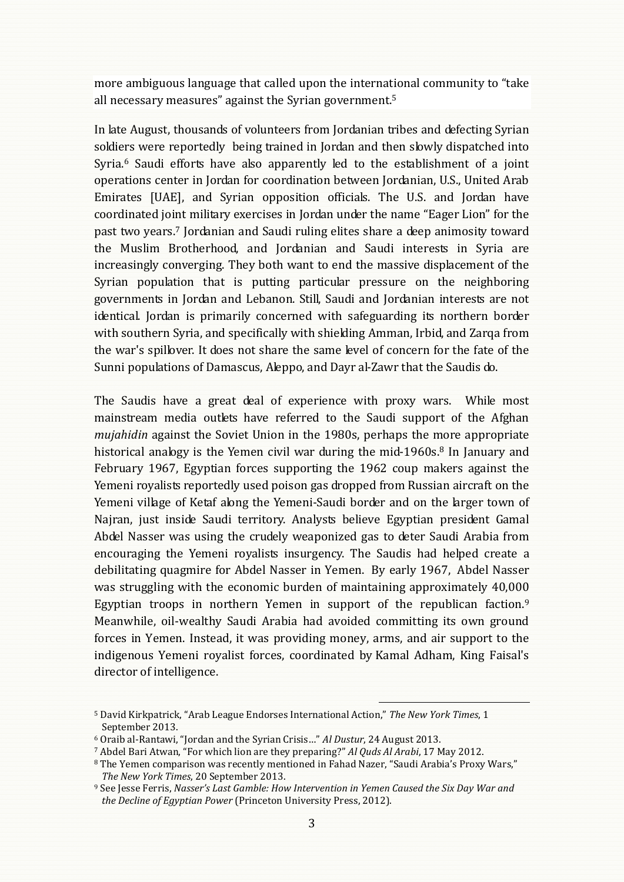more ambiguous language that called upon the international community to "take all necessary measures" against the Syrian government.<sup>5</sup>

In late August, thousands of volunteers from Jordanian tribes and defecting Syrian soldiers were reportedly being trained in Jordan and then slowly dispatched into Syria.<sup>6</sup> Saudi efforts have also apparently led to the establishment of a joint operations center in Jordan for coordination between Jordanian, U.S., United Arab Emirates [UAE], and Syrian opposition officials. The U.S. and Jordan have coordinated joint military exercises in Jordan under the name "Eager Lion" for the past two years.<sup>7</sup> Jordanian and Saudi ruling elites share a deep animosity toward the Muslim Brotherhood, and Jordanian and Saudi interests in Syria are increasingly converging. They both want to end the massive displacement of the Syrian population that is putting particular pressure on the neighboring governments in Jordan and Lebanon. Still, Saudi and Jordanian interests are not identical. Jordan is primarily concerned with safeguarding its northern border with southern Syria, and specifically with shielding Amman, Irbid, and Zarqa from the war's spillover. It does not share the same level of concern for the fate of the Sunni populations of Damascus, Aleppo, and Dayr al-Zawr that the Saudis do.

The Saudis have a great deal of experience with proxy wars. While most mainstream media outlets have referred to the Saudi support of the Afghan *mujahidin* against the Soviet Union in the 1980s, perhaps the more appropriate historical analogy is the Yemen civil war during the mid-1960s.<sup>8</sup> In January and February 1967, Egyptian forces supporting the 1962 coup makers against the Yemeni royalists reportedly used poison gas dropped from Russian aircraft on the Yemeni village of Ketaf along the Yemeni-Saudi border and on the larger town of Najran, just inside Saudi territory. Analysts believe Egyptian president Gamal Abdel Nasser was using the crudely weaponized gas to deter Saudi Arabia from encouraging the Yemeni royalists insurgency. The Saudis had helped create a debilitating quagmire for Abdel Nasser in Yemen. By early 1967, Abdel Nasser was struggling with the economic burden of maintaining approximately 40,000 Egyptian troops in northern Yemen in support of the republican faction.<sup>9</sup> Meanwhile, oil-wealthy Saudi Arabia had avoided committing its own ground forces in Yemen. Instead, it was providing money, arms, and air support to the indigenous Yemeni royalist forces, coordinated by Kamal Adham, King Faisal's director of intelligence.

 $\overline{a}$ 

<sup>5</sup> David Kirkpatrick, "Arab League Endorses International Action," *The New York Times*, 1 September 2013.

<sup>6</sup> Oraib al-Rantawi, "Jordan and the Syrian Crisis…" *Al Dustur*, 24 August 2013.

<sup>7</sup> Abdel Bari Atwan, "For which lion are they preparing?" *Al Quds Al Arabi*, 17 May 2012.

<sup>8</sup> The Yemen comparison was recently mentioned in Fahad Nazer, "Saudi Arabia's Proxy Wars," *The New York Times*, 20 September 2013.

<sup>9</sup> See Jesse Ferris, *Nasser's Last Gamble: How Intervention in Yemen Caused the Six Day War and the Decline of Egyptian Power* (Princeton University Press, 2012).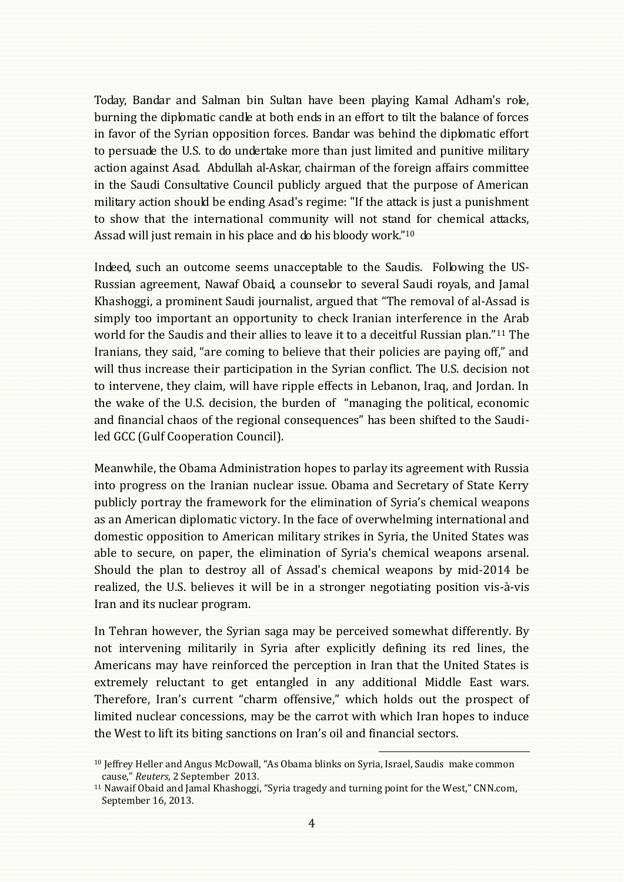Today, Bandar and Salman bin Sultan have been playing Kamal Adham's role, burning the diplomatic candle at both ends in an effort to tilt the balance of forces in favor of the Syrian opposition forces. Bandar was behind the diplomatic effort to persuade the U.S. to do undertake more than just limited and punitive military action against Asad. Abdullah al-Askar, chairman of the foreign affairs committee in the Saudi Consultative Council publicly argued that the purpose of American military action should be ending Asad's regime: "If the attack is just a punishment to show that the international community will not stand for chemical attacks, Assad will just remain in his place and do his bloody work."<sup>10</sup>

Indeed, such an outcome seems unacceptable to the Saudis. Following the US-Russian agreement, Nawaf Obaid, a counselor to several Saudi royals, and Jamal Khashoggi, a prominent Saudi journalist, argued that "The removal of al-Assad is simply too important an opportunity to check Iranian interference in the Arab world for the Saudis and their allies to leave it to a deceitful Russian plan."<sup>11</sup> The Iranians, they said, "are coming to believe that their policies are paying off," and will thus increase their participation in the Syrian conflict. The U.S. decision not to intervene, they claim, will have ripple effects in Lebanon, Iraq, and Jordan. In the wake of the U.S. decision, the burden of "managing the political, economic and financial chaos of the regional consequences" has been shifted to the Saudiled GCC (Gulf Cooperation Council).

Meanwhile, the Obama Administration hopes to parlay its agreement with Russia into progress on the Iranian nuclear issue. Obama and Secretary of State Kerry publicly portray the framework for the elimination of Syria's chemical weapons as an American diplomatic victory. In the face of overwhelming international and domestic opposition to American military strikes in Syria, the United States was able to secure, on paper, the elimination of Syria's chemical weapons arsenal. Should the plan to destroy all of Assad's chemical weapons by mid-2014 be realized, the U.S. believes it will be in a stronger negotiating position vis-à-vis Iran and its nuclear program.

In Tehran however, the Syrian saga may be perceived somewhat differently. By not intervening militarily in Syria after explicitly defining its red lines, the Americans may have reinforced the perception in Iran that the United States is extremely reluctant to get entangled in any additional Middle East wars. Therefore, Iran's current "charm offensive," which holds out the prospect of limited nuclear concessions, may be the carrot with which Iran hopes to induce the West to lift its biting sanctions on Iran's oil and financial sectors.

į

<sup>10</sup> Jeffrey Heller and Angus McDowall, "As Obama blinks on Syria, Israel, Saudis make common cause," *Reuters*, 2 September 2013.

<sup>&</sup>lt;sup>11</sup> Nawaif Obaid and Jamal Khashoggi, "Syria tragedy and turning point for the West," CNN.com, September 16, 2013.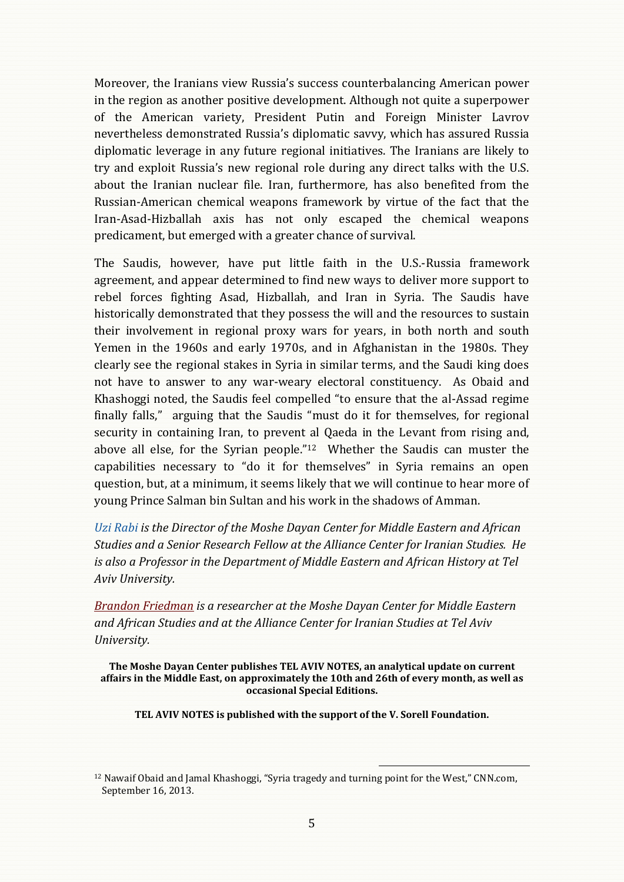Moreover, the Iranians view Russia's success counterbalancing American power in the region as another positive development. Although not quite a superpower of the American variety, President Putin and Foreign Minister Lavrov nevertheless demonstrated Russia's diplomatic savvy, which has assured Russia diplomatic leverage in any future regional initiatives. The Iranians are likely to try and exploit Russia's new regional role during any direct talks with the U.S. about the Iranian nuclear file. Iran, furthermore, has also benefited from the Russian-American chemical weapons framework by virtue of the fact that the Iran-Asad-Hizballah axis has not only escaped the chemical weapons predicament, but emerged with a greater chance of survival.

The Saudis, however, have put little faith in the U.S.-Russia framework agreement, and appear determined to find new ways to deliver more support to rebel forces fighting Asad, Hizballah, and Iran in Syria. The Saudis have historically demonstrated that they possess the will and the resources to sustain their involvement in regional proxy wars for years, in both north and south Yemen in the 1960s and early 1970s, and in Afghanistan in the 1980s. They clearly see the regional stakes in Syria in similar terms, and the Saudi king does not have to answer to any war-weary electoral constituency. As Obaid and Khashoggi noted, the Saudis feel compelled "to ensure that the al-Assad regime finally falls," arguing that the Saudis "must do it for themselves, for regional security in containing Iran, to prevent al Qaeda in the Levant from rising and, above all else, for the Syrian people."12 Whether the Saudis can muster the capabilities necessary to "do it for themselves" in Syria remains an open question, but, at a minimum, it seems likely that we will continue to hear more of young Prince Salman bin Sultan and his work in the shadows of Amman.

*[Uzi Rabi](http://www.dayan.org/uzi-rabi) is the Director of the Moshe Dayan Center for Middle Eastern and African Studies and a Senior Research Fellow at the Alliance Center for Iranian Studies. He is also a Professor in the Department of Middle Eastern and African History at Tel Aviv University.*

*[Brandon Friedman](http://www.dayan.org/brandon-friedman) is a researcher at the Moshe Dayan Center for Middle Eastern and African Studies and at the Alliance Center for Iranian Studies at Tel Aviv University.* 

**The Moshe Dayan Center publishes TEL AVIV NOTES, an analytical update on current affairs in the Middle East, on approximately the 10th and 26th of every month, as well as occasional Special Editions.**

**TEL AVIV NOTES is published with the support of the V. Sorell Foundation.**

j.

<sup>&</sup>lt;sup>12</sup> Nawaif Obaid and Jamal Khashoggi, "Syria tragedy and turning point for the West," CNN.com, September 16, 2013.